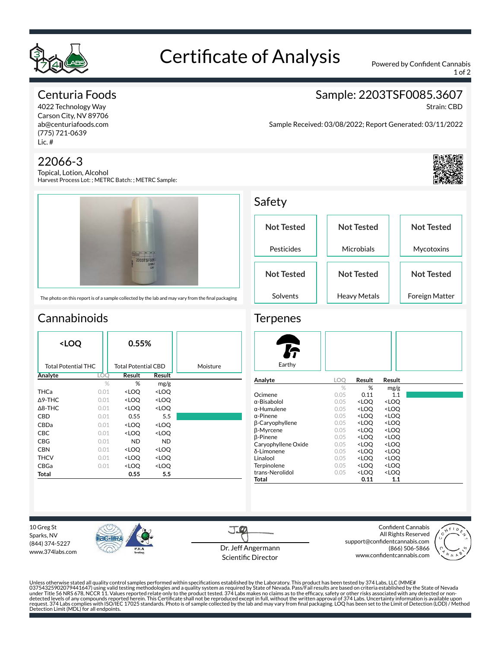

## Certificate of Analysis Powered by Confident Cannabis

1 of 2

Sample: 2203TSF0085.3607

Sample Received: 03/08/2022; Report Generated: 03/11/2022

## Centuria Foods

4022 Technology Way Carson City, NV 89706 ab@centuriafoods.com (775) 721-0639 Lic. #

### 22066-3

Topical, Lotion, Alcohol Harvest Process Lot: ; METRC Batch: ; METRC Sample:



The photo on this report is of a sample collected by the lab and may vary from the final packaging

## **Cannabinoids**

| <loq< th=""><th colspan="2">0.55%</th><th></th></loq<> |      | 0.55%                                                    |                              |          |
|--------------------------------------------------------|------|----------------------------------------------------------|------------------------------|----------|
| <b>Total Potential THC</b>                             |      | <b>Total Potential CBD</b>                               |                              | Moisture |
| Analyte                                                | LOO  |                                                          | Result                       |          |
|                                                        | $\%$ | %                                                        | mg/g                         |          |
| THCa                                                   | 0.01 | <loq< th=""><th><loq< th=""><th></th></loq<></th></loq<> | <loq< th=""><th></th></loq<> |          |
| $\triangle$ 9-THC                                      | 0.01 | <loo< th=""><th><loq< th=""><th></th></loq<></th></loo<> | <loq< th=""><th></th></loq<> |          |
| $\Delta$ 8-THC                                         | 0.01 | <loq< th=""><th><loq< th=""><th></th></loq<></th></loq<> | <loq< th=""><th></th></loq<> |          |
| CBD                                                    | 0.01 | 0.55                                                     | 5.5                          |          |
| CBDa                                                   | 0.01 | <loq< th=""><th><loq< th=""><th></th></loq<></th></loq<> | <loq< th=""><th></th></loq<> |          |
| <b>CBC</b>                                             | 0.01 | <loq< th=""><th><loo< th=""><th></th></loo<></th></loq<> | <loo< th=""><th></th></loo<> |          |
| CBG                                                    | 0.01 | <b>ND</b>                                                | <b>ND</b>                    |          |
| <b>CBN</b>                                             | 0.01 | <loq< th=""><th><loq< th=""><th></th></loq<></th></loq<> | <loq< th=""><th></th></loq<> |          |
| <b>THCV</b>                                            | 0.01 | <loq< th=""><th><loq< th=""><th></th></loq<></th></loq<> | <loq< th=""><th></th></loq<> |          |
| CBGa                                                   | 0.01 | <loq< th=""><th><loq< th=""><th></th></loq<></th></loq<> | <loq< th=""><th></th></loq<> |          |
| Total                                                  |      | 0.55                                                     | 5.5                          |          |

Safety **Not Tested** Pesticides **Not Tested Microbials Not Tested** Mycotoxins **Not Tested** Solvents **Not Tested** Heavy Metals **Not Tested** Foreign Matter

#### **Terpenes**

| Earthy                 |      |                                                 |                     |
|------------------------|------|-------------------------------------------------|---------------------|
| Analyte                | LOO  | Result                                          | Result              |
|                        | $\%$ | %                                               | mg/g                |
| Ocimene                | 0.05 | 0.11                                            | 1.1                 |
| $\alpha$ -Bisabolol    | 0.05 | <loo< td=""><td><loq< td=""></loq<></td></loo<> | <loq< td=""></loq<> |
| $\alpha$ -Humulene     | 0.05 | <loq< td=""><td><loq< td=""></loq<></td></loq<> | <loq< td=""></loq<> |
| $\alpha$ -Pinene       | 0.05 | <loo< td=""><td><loo< td=""></loo<></td></loo<> | <loo< td=""></loo<> |
| <b>B-Caryophyllene</b> | 0.05 | <loq< td=""><td><loq< td=""></loq<></td></loq<> | <loq< td=""></loq<> |
| <b>B-Myrcene</b>       | 0.05 | <loo< td=""><td><loo< td=""></loo<></td></loo<> | <loo< td=""></loo<> |
| <b>B-Pinene</b>        | 0.05 | <loq< td=""><td><loq< td=""></loq<></td></loq<> | <loq< td=""></loq<> |
| Caryophyllene Oxide    | 0.05 | <loo< td=""><td><loo< td=""></loo<></td></loo<> | <loo< td=""></loo<> |
| δ-Limonene             | 0.05 | <loq< td=""><td><loq< td=""></loq<></td></loq<> | <loq< td=""></loq<> |
| Linalool               | 0.05 | <loo< td=""><td><loq< td=""></loq<></td></loo<> | <loq< td=""></loq<> |
| Terpinolene            | 0.05 | <loq< td=""><td><loq< td=""></loq<></td></loq<> | <loq< td=""></loq<> |
| trans-Nerolidol        | 0.05 | <loo< td=""><td><loq< td=""></loq<></td></loo<> | <loq< td=""></loq<> |
| Total                  |      | 0.11                                            | 1.1                 |

10 Greg St Sparks, NV (844) 374-5227 www.374labs.com



J.CO Dr. Jeff Angermann Scientific Director

Confident Cannabis All Rights Reserved support@confidentcannabis.com (866) 506-5866 www.confidentcannabis.com



Unless otherwise stated all quality control samples performed within specifications established by the Laboratory. This product has been tested by 374 Labs, LLC (MME# 03754325902079441647) using valid testing methodologies and a quality system as required by State of Nevada. Pass/Fail results are based on criteria established by the State of Nevada<br>under Title 56 NRS 678, NCCR 11. Value



Strain: CBD